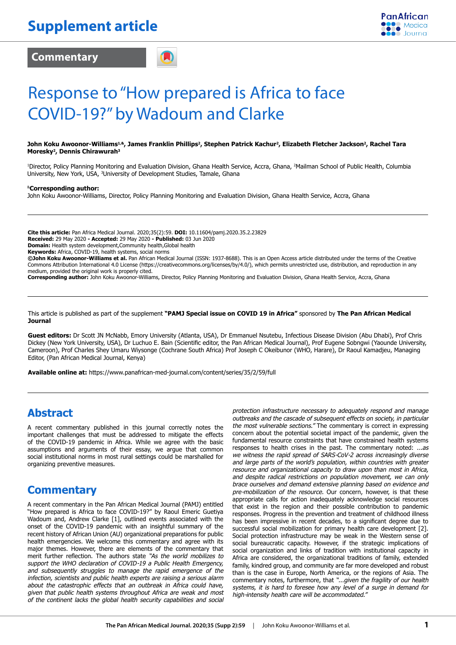**Commentary**

**PanAfrican** 

# Response to "How prepared is Africa to face COVID-19?" by Wadoum and Clarke

#### John Koku Awoonor-Williams<sup>1,&</sup>, James Franklin Phillips<sup>2</sup>, Stephen Patrick Kachur<sup>2</sup>, Elizabeth Fletcher Jackson<sup>2</sup>, Rachel Tara **Moresky2, Dennis Chirawurah3**

1 Director, Policy Planning Monitoring and Evaluation Division, Ghana Health Service, Accra, Ghana, 2 Mailman School of Public Health, Columbia University, New York, USA, <sup>3</sup>University of Development Studies, Tamale, Ghana

#### &**Corresponding author:**

John Koku Awoonor-Williams, Director, Policy Planning Monitoring and Evaluation Division, Ghana Health Service, Accra, Ghana

**Cite this article:** Pan Africa Medical Journal. 2020;35(2):59. **DOI:** 10.11604/pamj.2020.35.2.23829 **Received:** 29 May 2020 **- Accepted:** 29 May 2020 **- Published:** 03 Jun 2020 **Domain:** Health system development,Community health,Global health

**Keywords:** Africa, COVID-19, health systems, social norms

**©John Koku Awoonor-Williams et al.** Pan African Medical Journal (ISSN: 1937-8688). This is an Open Access article distributed under the terms of the Creative Commons Attribution International 4.0 License (https://creativecommons.org/licenses/by/4.0/), which permits unrestricted use, distribution, and reproduction in any medium, provided the original work is properly cited.

**Corresponding author:** John Koku Awoonor-Williams, Director, Policy Planning Monitoring and Evaluation Division, Ghana Health Service, Accra, Ghana

This article is published as part of the supplement **"PAMJ Special issue on COVID 19 in Africa"** sponsored by **The Pan African Medical Journal**

**Guest editors:** Dr Scott JN McNabb, Emory University (Atlanta, USA), Dr Emmanuel Nsutebu, Infectious Disease Division (Abu Dhabi), Prof Chris Dickey (New York University, USA), Dr Luchuo E. Bain (Scientific editor, the Pan African Medical Journal), Prof Eugene Sobngwi (Yaounde University, Cameroon), Prof Charles Shey Umaru Wiysonge (Cochrane South Africa) Prof Joseph C Okeibunor (WHO, Harare), Dr Raoul Kamadjeu, Managing Editor, (Pan African Medical Journal, Kenya)

**Available online at:** https://www.panafrican-med-journal.com/content/series/35/2/59/full

#### **Abstract**

A recent commentary published in this journal correctly notes the important challenges that must be addressed to mitigate the effects of the COVID-19 pandemic in Africa. While we agree with the basic assumptions and arguments of their essay, we argue that common social institutional norms in most rural settings could be marshalled for organizing preventive measures.

#### **Commentary**

A recent commentary in the Pan African Medical Journal (PAMJ) entitled "How prepared is Africa to face COVID-19?" by Raoul Emeric Guetiya Wadoum and, Andrew Clarke [1], outlined events associated with the onset of the COVID-19 pandemic with an insightful summary of the recent history of African Union (AU) organizational preparations for public health emergencies. We welcome this commentary and agree with its major themes. However, there are elements of the commentary that merit further reflection. The authors state *"As the world mobilizes to support the WHO declaration of COVID-19 a Public Health Emergency, and subsequently struggles to manage the rapid emergence of the infection, scientists and public health experts are raising a serious alarm about the catastrophic effects that an outbreak in Africa could have, given that public health systems throughout Africa are weak and most of the continent lacks the global health security capabilities and social* 

*protection infrastructure necessary to adequately respond and manage outbreaks and the cascade of subsequent effects on society, in particular the most vulnerable sections."* The commentary is correct in expressing concern about the potential societal impact of the pandemic, given the fundamental resource constraints that have constrained health systems responses to health crises in the past. The commentary noted: *...as we witness the rapid spread of SARS-CoV-2 across increasingly diverse and large parts of the world's population, within countries with greater resource and organizational capacity to draw upon than most in Africa, and despite radical restrictions on population movement, we can only brace ourselves and demand extensive planning based on evidence and pre-mobilization of the resource.* Our concern, however, is that these appropriate calls for action inadequately acknowledge social resources that exist in the region and their possible contribution to pandemic responses. Progress in the prevention and treatment of childhood illness has been impressive in recent decades, to a significant degree due to successful social mobilization for primary health care development [2]. Social protection infrastructure may be weak in the Western sense of social bureaucratic capacity. However, if the strategic implications of social organization and links of tradition with institutional capacity in Africa are considered, the organizational traditions of family, extended family, kindred group, and community are far more developed and robust than is the case in Europe, North America, or the regions of Asia. The commentary notes, furthermore, that *"...given the fragility of our health systems, it is hard to foresee how any level of a surge in demand for high-intensity health care will be accommodated."*